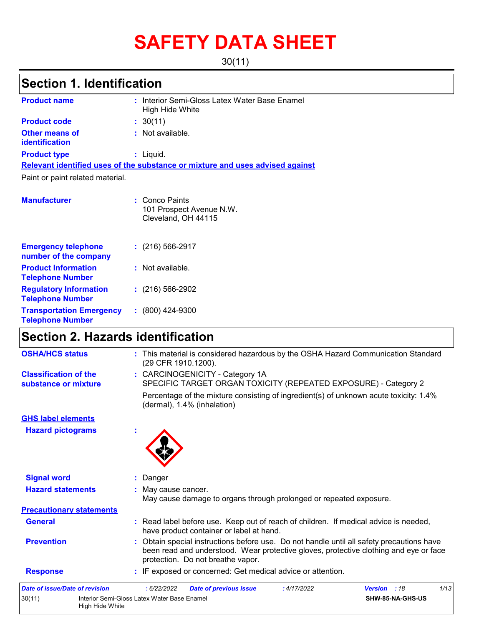# **SAFETY DATA SHEET**

30(11)

### **Section 1. Identification**

| <b>Product name</b>                                      | : Interior Semi-Gloss Latex Water Base Enamel<br>High Hide White              |
|----------------------------------------------------------|-------------------------------------------------------------------------------|
| <b>Product code</b>                                      | : 30(11)                                                                      |
| <b>Other means of</b><br><b>identification</b>           | $:$ Not available.                                                            |
| <b>Product type</b>                                      | : Liquid.                                                                     |
|                                                          | Relevant identified uses of the substance or mixture and uses advised against |
| Paint or paint related material.                         |                                                                               |
|                                                          |                                                                               |
| <b>Manufacturer</b>                                      | : Conco Paints<br>101 Prospect Avenue N.W.<br>Cleveland, OH 44115             |
| <b>Emergency telephone</b><br>number of the company      | $: (216) 566 - 2917$                                                          |
| <b>Product Information</b><br><b>Telephone Number</b>    | : Not available.                                                              |
| <b>Regulatory Information</b><br><b>Telephone Number</b> | $: (216) 566 - 2902$                                                          |

**:** (800) 424-9300

### **Section 2. Hazards identification**

**Transportation Emergency Telephone Number**

| <b>OSHA/HCS status</b>                               | : This material is considered hazardous by the OSHA Hazard Communication Standard<br>(29 CFR 1910.1200).                                                                                                                |
|------------------------------------------------------|-------------------------------------------------------------------------------------------------------------------------------------------------------------------------------------------------------------------------|
| <b>Classification of the</b><br>substance or mixture | : CARCINOGENICITY - Category 1A<br>SPECIFIC TARGET ORGAN TOXICITY (REPEATED EXPOSURE) - Category 2                                                                                                                      |
|                                                      | Percentage of the mixture consisting of ingredient(s) of unknown acute toxicity: 1.4%<br>(dermal), 1.4% (inhalation)                                                                                                    |
| <b>GHS label elements</b>                            |                                                                                                                                                                                                                         |
| <b>Hazard pictograms</b>                             |                                                                                                                                                                                                                         |
| <b>Signal word</b>                                   | : Danger                                                                                                                                                                                                                |
| <b>Hazard statements</b>                             | : May cause cancer.<br>May cause damage to organs through prolonged or repeated exposure.                                                                                                                               |
| <b>Precautionary statements</b>                      |                                                                                                                                                                                                                         |
| <b>General</b>                                       | : Read label before use. Keep out of reach of children. If medical advice is needed,<br>have product container or label at hand.                                                                                        |
| <b>Prevention</b>                                    | : Obtain special instructions before use. Do not handle until all safety precautions have<br>been read and understood. Wear protective gloves, protective clothing and eye or face<br>protection. Do not breathe vapor. |
| <b>Response</b>                                      | : IF exposed or concerned: Get medical advice or attention.                                                                                                                                                             |
| <b>Date of issue/Date of revision</b>                | 1/13<br><b>Version</b> : 18<br>:6/22/2022<br><b>Date of previous issue</b><br>:4/17/2022                                                                                                                                |
| 30(11)                                               | Interior Semi-Gloss Latex Water Base Enamel<br>SHW-85-NA-GHS-US<br>High Hide White                                                                                                                                      |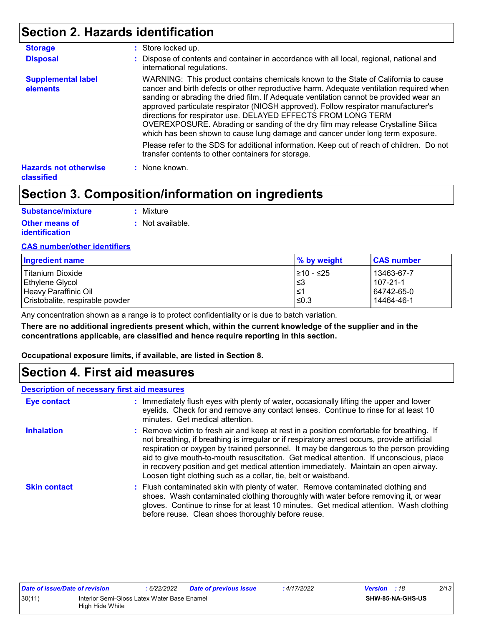### **Section 2. Hazards identification**

| <b>Storage</b>                             | : Store locked up.                                                                                                                                                                                                                                                                                                                                                                                                                                                                                                                                                                                   |  |
|--------------------------------------------|------------------------------------------------------------------------------------------------------------------------------------------------------------------------------------------------------------------------------------------------------------------------------------------------------------------------------------------------------------------------------------------------------------------------------------------------------------------------------------------------------------------------------------------------------------------------------------------------------|--|
| <b>Disposal</b>                            | : Dispose of contents and container in accordance with all local, regional, national and<br>international regulations.                                                                                                                                                                                                                                                                                                                                                                                                                                                                               |  |
| <b>Supplemental label</b><br>elements      | WARNING: This product contains chemicals known to the State of California to cause<br>cancer and birth defects or other reproductive harm. Adequate ventilation required when<br>sanding or abrading the dried film. If Adequate ventilation cannot be provided wear an<br>approved particulate respirator (NIOSH approved). Follow respirator manufacturer's<br>directions for respirator use. DELAYED EFFECTS FROM LONG TERM<br>OVEREXPOSURE. Abrading or sanding of the dry film may release Crystalline Silica<br>which has been shown to cause lung damage and cancer under long term exposure. |  |
|                                            | Please refer to the SDS for additional information. Keep out of reach of children. Do not<br>transfer contents to other containers for storage.                                                                                                                                                                                                                                                                                                                                                                                                                                                      |  |
| <b>Hazards not otherwise</b><br>classified | : None known.                                                                                                                                                                                                                                                                                                                                                                                                                                                                                                                                                                                        |  |

### **Section 3. Composition/information on ingredients**

| Substance/mixture     | : Mixture        |
|-----------------------|------------------|
| <b>Other means of</b> | : Not available. |
| <b>identification</b> |                  |

#### **CAS number/other identifiers**

| Ingredient name                 | ∣% by weight | <b>CAS number</b> |
|---------------------------------|--------------|-------------------|
| l Titanium Dioxide              | l≥10 - ≤25   | 13463-67-7        |
| Ethylene Glycol                 | 3≥ ا         | 1107-21-1         |
| Heavy Paraffinic Oil            | 1≤1          | 64742-65-0        |
| Cristobalite, respirable powder | l≤0.3        | 14464-46-1        |

Any concentration shown as a range is to protect confidentiality or is due to batch variation.

**There are no additional ingredients present which, within the current knowledge of the supplier and in the concentrations applicable, are classified and hence require reporting in this section.**

**Occupational exposure limits, if available, are listed in Section 8.**

### **Section 4. First aid measures**

#### **Description of necessary first aid measures**

| <b>Eye contact</b>  | : Immediately flush eyes with plenty of water, occasionally lifting the upper and lower<br>eyelids. Check for and remove any contact lenses. Continue to rinse for at least 10<br>minutes. Get medical attention.                                                                                                                                                                                                                                                                                                                         |
|---------------------|-------------------------------------------------------------------------------------------------------------------------------------------------------------------------------------------------------------------------------------------------------------------------------------------------------------------------------------------------------------------------------------------------------------------------------------------------------------------------------------------------------------------------------------------|
| <b>Inhalation</b>   | : Remove victim to fresh air and keep at rest in a position comfortable for breathing. If<br>not breathing, if breathing is irregular or if respiratory arrest occurs, provide artificial<br>respiration or oxygen by trained personnel. It may be dangerous to the person providing<br>aid to give mouth-to-mouth resuscitation. Get medical attention. If unconscious, place<br>in recovery position and get medical attention immediately. Maintain an open airway.<br>Loosen tight clothing such as a collar, tie, belt or waistband. |
| <b>Skin contact</b> | : Flush contaminated skin with plenty of water. Remove contaminated clothing and<br>shoes. Wash contaminated clothing thoroughly with water before removing it, or wear<br>gloves. Continue to rinse for at least 10 minutes. Get medical attention. Wash clothing<br>before reuse. Clean shoes thoroughly before reuse.                                                                                                                                                                                                                  |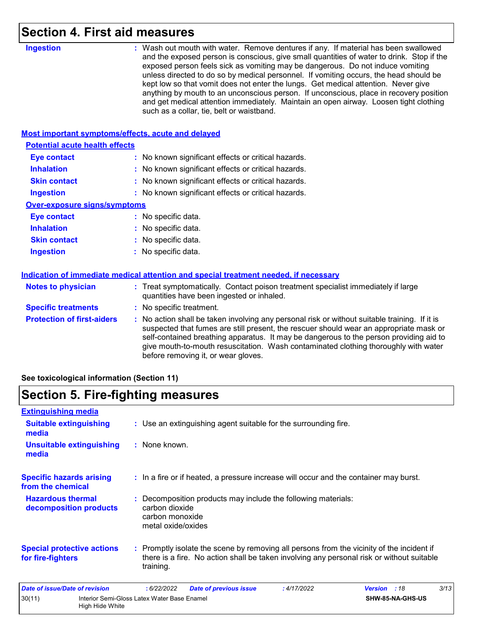### **Section 4. First aid measures**

| <b>Ingestion</b>                                          | : Wash out mouth with water. Remove dentures if any. If material has been swallowed<br>and the exposed person is conscious, give small quantities of water to drink. Stop if the<br>exposed person feels sick as vomiting may be dangerous. Do not induce vomiting<br>unless directed to do so by medical personnel. If vomiting occurs, the head should be<br>kept low so that vomit does not enter the lungs. Get medical attention. Never give<br>anything by mouth to an unconscious person. If unconscious, place in recovery position<br>and get medical attention immediately. Maintain an open airway. Loosen tight clothing<br>such as a collar, tie, belt or waistband. |  |
|-----------------------------------------------------------|-----------------------------------------------------------------------------------------------------------------------------------------------------------------------------------------------------------------------------------------------------------------------------------------------------------------------------------------------------------------------------------------------------------------------------------------------------------------------------------------------------------------------------------------------------------------------------------------------------------------------------------------------------------------------------------|--|
| <b>Most important symptoms/effects, acute and delayed</b> |                                                                                                                                                                                                                                                                                                                                                                                                                                                                                                                                                                                                                                                                                   |  |
| <b>Potential acute health effects</b>                     |                                                                                                                                                                                                                                                                                                                                                                                                                                                                                                                                                                                                                                                                                   |  |
| <b>Eye contact</b>                                        | : No known significant effects or critical hazards.                                                                                                                                                                                                                                                                                                                                                                                                                                                                                                                                                                                                                               |  |
| <b>Inhalation</b>                                         | No known significant effects or critical hazards.                                                                                                                                                                                                                                                                                                                                                                                                                                                                                                                                                                                                                                 |  |
| <b>Skin contact</b>                                       | : No known significant effects or critical hazards.                                                                                                                                                                                                                                                                                                                                                                                                                                                                                                                                                                                                                               |  |
| <b>Ingestion</b>                                          | : No known significant effects or critical hazards.                                                                                                                                                                                                                                                                                                                                                                                                                                                                                                                                                                                                                               |  |
| <b>Over-exposure signs/symptoms</b>                       |                                                                                                                                                                                                                                                                                                                                                                                                                                                                                                                                                                                                                                                                                   |  |
| <b>Eye contact</b>                                        | : No specific data.                                                                                                                                                                                                                                                                                                                                                                                                                                                                                                                                                                                                                                                               |  |
| <b>Inhalation</b>                                         | No specific data.                                                                                                                                                                                                                                                                                                                                                                                                                                                                                                                                                                                                                                                                 |  |
| <b>Skin contact</b>                                       | : No specific data.                                                                                                                                                                                                                                                                                                                                                                                                                                                                                                                                                                                                                                                               |  |
| <b>Ingestion</b>                                          | No specific data.                                                                                                                                                                                                                                                                                                                                                                                                                                                                                                                                                                                                                                                                 |  |
|                                                           | Indication of immediate medical attention and special treatment needed, if necessary                                                                                                                                                                                                                                                                                                                                                                                                                                                                                                                                                                                              |  |
| <b>Notes to physician</b>                                 | : Treat symptomatically. Contact poison treatment specialist immediately if large<br>quantities have been ingested or inhaled.                                                                                                                                                                                                                                                                                                                                                                                                                                                                                                                                                    |  |
| <b>Specific treatments</b>                                | : No specific treatment.                                                                                                                                                                                                                                                                                                                                                                                                                                                                                                                                                                                                                                                          |  |
| <b>Protection of first-aiders</b>                         | No action shall be taken involving any personal risk or without suitable training. If it is<br>suspected that fumes are still present, the rescuer should wear an appropriate mask or<br>self-contained breathing apparatus. It may be dangerous to the person providing aid to<br>give mouth-to-mouth resuscitation. Wash contaminated clothing thoroughly with water<br>before removing it, or wear gloves.                                                                                                                                                                                                                                                                     |  |
|                                                           |                                                                                                                                                                                                                                                                                                                                                                                                                                                                                                                                                                                                                                                                                   |  |

**See toxicological information (Section 11)**

### **Section 5. Fire-fighting measures**

| <b>Extinguishing media</b>                             |                                                                                                                                                                                                     |  |
|--------------------------------------------------------|-----------------------------------------------------------------------------------------------------------------------------------------------------------------------------------------------------|--|
| <b>Suitable extinguishing</b><br>media                 | : Use an extinguishing agent suitable for the surrounding fire.                                                                                                                                     |  |
| <b>Unsuitable extinguishing</b><br>media               | : None known.                                                                                                                                                                                       |  |
| <b>Specific hazards arising</b><br>from the chemical   | : In a fire or if heated, a pressure increase will occur and the container may burst.                                                                                                               |  |
| <b>Hazardous thermal</b><br>decomposition products     | : Decomposition products may include the following materials:<br>carbon dioxide<br>carbon monoxide<br>metal oxide/oxides                                                                            |  |
| <b>Special protective actions</b><br>for fire-fighters | : Promptly isolate the scene by removing all persons from the vicinity of the incident if<br>there is a fire. No action shall be taken involving any personal risk or without suitable<br>training. |  |
| <b>Date of issue/Date of revision</b>                  | 3/13<br>: 6/22/2022<br><b>Date of previous issue</b><br><b>Version</b><br>:18<br>: 4/17/2022                                                                                                        |  |
| 30(11)<br>High Hide White                              | Interior Semi-Gloss Latex Water Base Enamel<br>SHW-85-NA-GHS-US                                                                                                                                     |  |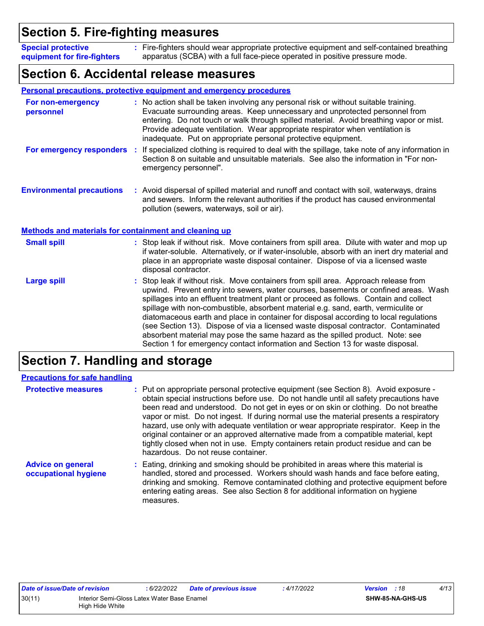### **Section 5. Fire-fighting measures**

Fire-fighters should wear appropriate protective equipment and self-contained breathing **:** apparatus (SCBA) with a full face-piece operated in positive pressure mode. **Special protective equipment for fire-fighters**

### **Section 6. Accidental release measures**

|                                                              | Personal precautions, protective equipment and emergency procedures                                                                                                                                                                                                                                                                                                                                                                                                                                                                                                                                                                                                                                        |
|--------------------------------------------------------------|------------------------------------------------------------------------------------------------------------------------------------------------------------------------------------------------------------------------------------------------------------------------------------------------------------------------------------------------------------------------------------------------------------------------------------------------------------------------------------------------------------------------------------------------------------------------------------------------------------------------------------------------------------------------------------------------------------|
| For non-emergency<br>personnel                               | : No action shall be taken involving any personal risk or without suitable training.<br>Evacuate surrounding areas. Keep unnecessary and unprotected personnel from<br>entering. Do not touch or walk through spilled material. Avoid breathing vapor or mist.<br>Provide adequate ventilation. Wear appropriate respirator when ventilation is<br>inadequate. Put on appropriate personal protective equipment.                                                                                                                                                                                                                                                                                           |
| For emergency responders                                     | If specialized clothing is required to deal with the spillage, take note of any information in<br>÷.<br>Section 8 on suitable and unsuitable materials. See also the information in "For non-<br>emergency personnel".                                                                                                                                                                                                                                                                                                                                                                                                                                                                                     |
| <b>Environmental precautions</b>                             | : Avoid dispersal of spilled material and runoff and contact with soil, waterways, drains<br>and sewers. Inform the relevant authorities if the product has caused environmental<br>pollution (sewers, waterways, soil or air).                                                                                                                                                                                                                                                                                                                                                                                                                                                                            |
| <b>Methods and materials for containment and cleaning up</b> |                                                                                                                                                                                                                                                                                                                                                                                                                                                                                                                                                                                                                                                                                                            |
| <b>Small spill</b>                                           | : Stop leak if without risk. Move containers from spill area. Dilute with water and mop up<br>if water-soluble. Alternatively, or if water-insoluble, absorb with an inert dry material and<br>place in an appropriate waste disposal container. Dispose of via a licensed waste<br>disposal contractor.                                                                                                                                                                                                                                                                                                                                                                                                   |
| <b>Large spill</b>                                           | Stop leak if without risk. Move containers from spill area. Approach release from<br>upwind. Prevent entry into sewers, water courses, basements or confined areas. Wash<br>spillages into an effluent treatment plant or proceed as follows. Contain and collect<br>spillage with non-combustible, absorbent material e.g. sand, earth, vermiculite or<br>diatomaceous earth and place in container for disposal according to local regulations<br>(see Section 13). Dispose of via a licensed waste disposal contractor. Contaminated<br>absorbent material may pose the same hazard as the spilled product. Note: see<br>Section 1 for emergency contact information and Section 13 for waste disposal. |

### **Section 7. Handling and storage**

| <b>Precautions for safe handling</b>             |                                                                                                                                                                                                                                                                                                                                                                                                                                                                                                                                                                                                                                                                               |
|--------------------------------------------------|-------------------------------------------------------------------------------------------------------------------------------------------------------------------------------------------------------------------------------------------------------------------------------------------------------------------------------------------------------------------------------------------------------------------------------------------------------------------------------------------------------------------------------------------------------------------------------------------------------------------------------------------------------------------------------|
| <b>Protective measures</b>                       | : Put on appropriate personal protective equipment (see Section 8). Avoid exposure -<br>obtain special instructions before use. Do not handle until all safety precautions have<br>been read and understood. Do not get in eyes or on skin or clothing. Do not breathe<br>vapor or mist. Do not ingest. If during normal use the material presents a respiratory<br>hazard, use only with adequate ventilation or wear appropriate respirator. Keep in the<br>original container or an approved alternative made from a compatible material, kept<br>tightly closed when not in use. Empty containers retain product residue and can be<br>hazardous. Do not reuse container. |
| <b>Advice on general</b><br>occupational hygiene | : Eating, drinking and smoking should be prohibited in areas where this material is<br>handled, stored and processed. Workers should wash hands and face before eating,<br>drinking and smoking. Remove contaminated clothing and protective equipment before<br>entering eating areas. See also Section 8 for additional information on hygiene<br>measures.                                                                                                                                                                                                                                                                                                                 |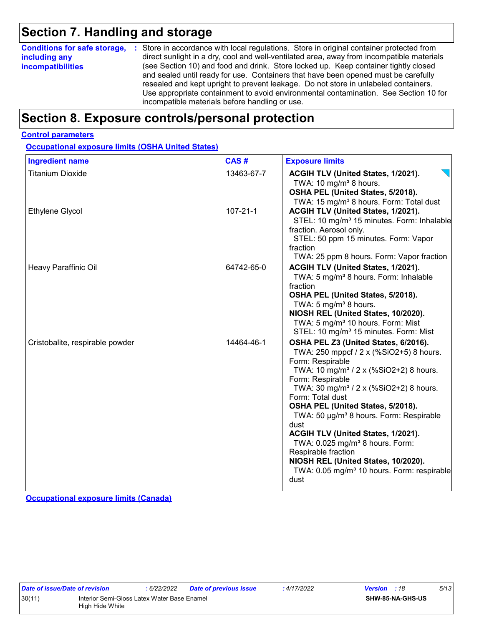### **Section 7. Handling and storage**

| <b>Conditions for safe storage,</b> | : Store in accordance with local regulations. Store in original container protected from                                                                                                                                                                                                                                                                                                                   |
|-------------------------------------|------------------------------------------------------------------------------------------------------------------------------------------------------------------------------------------------------------------------------------------------------------------------------------------------------------------------------------------------------------------------------------------------------------|
| including any                       | direct sunlight in a dry, cool and well-ventilated area, away from incompatible materials                                                                                                                                                                                                                                                                                                                  |
| <b>incompatibilities</b>            | (see Section 10) and food and drink. Store locked up. Keep container tightly closed<br>and sealed until ready for use. Containers that have been opened must be carefully<br>resealed and kept upright to prevent leakage. Do not store in unlabeled containers.<br>Use appropriate containment to avoid environmental contamination. See Section 10 for<br>incompatible materials before handling or use. |

### **Section 8. Exposure controls/personal protection**

#### **Control parameters**

**Occupational exposure limits (OSHA United States)**

| <b>Ingredient name</b>          | CAS#           | <b>Exposure limits</b>                                                                                                                                                                                                                                                                                                                                                                                                                                                                                                                                                           |
|---------------------------------|----------------|----------------------------------------------------------------------------------------------------------------------------------------------------------------------------------------------------------------------------------------------------------------------------------------------------------------------------------------------------------------------------------------------------------------------------------------------------------------------------------------------------------------------------------------------------------------------------------|
| <b>Titanium Dioxide</b>         | 13463-67-7     | ACGIH TLV (United States, 1/2021).<br>TWA: 10 mg/m <sup>3</sup> 8 hours.<br>OSHA PEL (United States, 5/2018).<br>TWA: 15 mg/m <sup>3</sup> 8 hours. Form: Total dust                                                                                                                                                                                                                                                                                                                                                                                                             |
| <b>Ethylene Glycol</b>          | $107 - 21 - 1$ | ACGIH TLV (United States, 1/2021).<br>STEL: 10 mg/m <sup>3</sup> 15 minutes. Form: Inhalable<br>fraction. Aerosol only.<br>STEL: 50 ppm 15 minutes. Form: Vapor<br>fraction<br>TWA: 25 ppm 8 hours. Form: Vapor fraction                                                                                                                                                                                                                                                                                                                                                         |
| Heavy Paraffinic Oil            | 64742-65-0     | ACGIH TLV (United States, 1/2021).<br>TWA: 5 mg/m <sup>3</sup> 8 hours. Form: Inhalable<br>fraction<br>OSHA PEL (United States, 5/2018).<br>TWA: 5 mg/m <sup>3</sup> 8 hours.<br>NIOSH REL (United States, 10/2020).<br>TWA: 5 mg/m <sup>3</sup> 10 hours. Form: Mist<br>STEL: 10 mg/m <sup>3</sup> 15 minutes. Form: Mist                                                                                                                                                                                                                                                       |
| Cristobalite, respirable powder | 14464-46-1     | OSHA PEL Z3 (United States, 6/2016).<br>TWA: 250 mppcf / 2 x (%SiO2+5) 8 hours.<br>Form: Respirable<br>TWA: 10 mg/m <sup>3</sup> / 2 x (%SiO2+2) 8 hours.<br>Form: Respirable<br>TWA: 30 mg/m <sup>3</sup> / 2 x (%SiO2+2) 8 hours.<br>Form: Total dust<br>OSHA PEL (United States, 5/2018).<br>TWA: 50 µg/m <sup>3</sup> 8 hours. Form: Respirable<br>dust<br>ACGIH TLV (United States, 1/2021).<br>TWA: 0.025 mg/m <sup>3</sup> 8 hours. Form:<br>Respirable fraction<br>NIOSH REL (United States, 10/2020).<br>TWA: 0.05 mg/m <sup>3</sup> 10 hours. Form: respirable<br>dust |

**Occupational exposure limits (Canada)**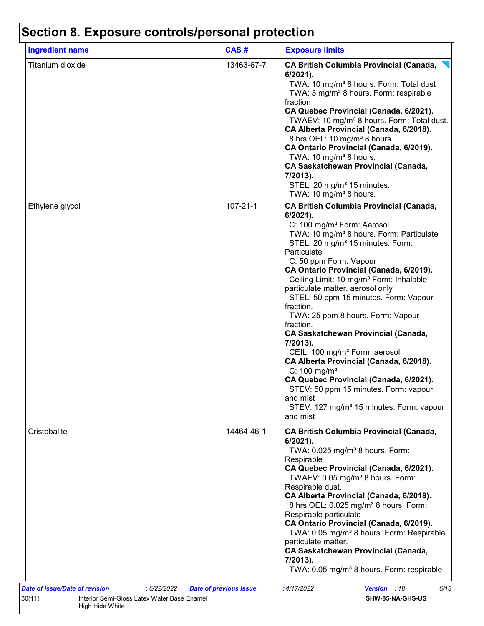| <b>Ingredient name</b> | CAS#           | <b>Exposure limits</b>                                                                                                                                                                                                                                                                                                                                                                                                                                                                                                                                                                                                                                                                                                                                                                                                                                 |
|------------------------|----------------|--------------------------------------------------------------------------------------------------------------------------------------------------------------------------------------------------------------------------------------------------------------------------------------------------------------------------------------------------------------------------------------------------------------------------------------------------------------------------------------------------------------------------------------------------------------------------------------------------------------------------------------------------------------------------------------------------------------------------------------------------------------------------------------------------------------------------------------------------------|
| Titanium dioxide       | 13463-67-7     | <b>CA British Columbia Provincial (Canada,</b><br>$6/2021$ ).<br>TWA: 10 mg/m <sup>3</sup> 8 hours. Form: Total dust<br>TWA: 3 mg/m <sup>3</sup> 8 hours. Form: respirable<br>fraction<br>CA Quebec Provincial (Canada, 6/2021).<br>TWAEV: 10 mg/m <sup>3</sup> 8 hours. Form: Total dust.<br>CA Alberta Provincial (Canada, 6/2018).<br>8 hrs OEL: 10 mg/m <sup>3</sup> 8 hours.<br>CA Ontario Provincial (Canada, 6/2019).<br>TWA: 10 mg/m <sup>3</sup> 8 hours.<br><b>CA Saskatchewan Provincial (Canada,</b><br>7/2013).<br>STEL: 20 mg/m <sup>3</sup> 15 minutes.<br>TWA: 10 mg/m <sup>3</sup> 8 hours.                                                                                                                                                                                                                                           |
| Ethylene glycol        | $107 - 21 - 1$ | <b>CA British Columbia Provincial (Canada,</b><br>6/2021).<br>C: 100 mg/m <sup>3</sup> Form: Aerosol<br>TWA: 10 mg/m <sup>3</sup> 8 hours. Form: Particulate<br>STEL: 20 mg/m <sup>3</sup> 15 minutes. Form:<br>Particulate<br>C: 50 ppm Form: Vapour<br>CA Ontario Provincial (Canada, 6/2019).<br>Ceiling Limit: 10 mg/m <sup>3</sup> Form: Inhalable<br>particulate matter, aerosol only<br>STEL: 50 ppm 15 minutes. Form: Vapour<br>fraction.<br>TWA: 25 ppm 8 hours. Form: Vapour<br>fraction.<br><b>CA Saskatchewan Provincial (Canada,</b><br>7/2013).<br>CEIL: 100 mg/m <sup>3</sup> Form: aerosol<br>CA Alberta Provincial (Canada, 6/2018).<br>$C: 100$ mg/m <sup>3</sup><br>CA Quebec Provincial (Canada, 6/2021).<br>STEV: 50 ppm 15 minutes. Form: vapour<br>and mist<br>STEV: 127 mg/m <sup>3</sup> 15 minutes. Form: vapour<br>and mist |
| Cristobalite           | 14464-46-1     | <b>CA British Columbia Provincial (Canada,</b><br>$6/2021$ ).<br>TWA: 0.025 mg/m <sup>3</sup> 8 hours. Form:<br>Respirable<br>CA Quebec Provincial (Canada, 6/2021).<br>TWAEV: 0.05 mg/m <sup>3</sup> 8 hours. Form:<br>Respirable dust.<br>CA Alberta Provincial (Canada, 6/2018).<br>8 hrs OEL: 0.025 mg/m <sup>3</sup> 8 hours. Form:<br>Respirable particulate<br>CA Ontario Provincial (Canada, 6/2019).<br>TWA: 0.05 mg/m <sup>3</sup> 8 hours. Form: Respirable<br>particulate matter.<br><b>CA Saskatchewan Provincial (Canada,</b><br>$7/2013$ ).<br>TWA: 0.05 mg/m <sup>3</sup> 8 hours. Form: respirable                                                                                                                                                                                                                                    |

High Hide White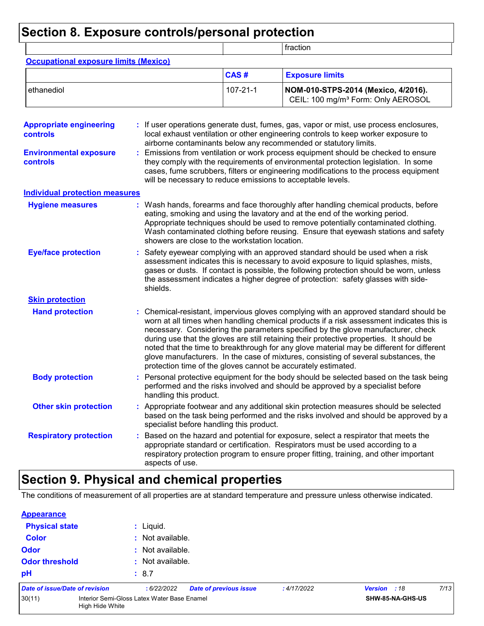### **Section 8. Exposure controls/personal protection**

|                                                                                         |                                                                                                                                                                                                                                                                                                                                                                  |                | fraction                                                                                                                                                                                                                                                                                                                                                                                                                                                                                                                                              |  |
|-----------------------------------------------------------------------------------------|------------------------------------------------------------------------------------------------------------------------------------------------------------------------------------------------------------------------------------------------------------------------------------------------------------------------------------------------------------------|----------------|-------------------------------------------------------------------------------------------------------------------------------------------------------------------------------------------------------------------------------------------------------------------------------------------------------------------------------------------------------------------------------------------------------------------------------------------------------------------------------------------------------------------------------------------------------|--|
| <b>Occupational exposure limits (Mexico)</b>                                            |                                                                                                                                                                                                                                                                                                                                                                  |                |                                                                                                                                                                                                                                                                                                                                                                                                                                                                                                                                                       |  |
|                                                                                         |                                                                                                                                                                                                                                                                                                                                                                  | CAS#           | <b>Exposure limits</b>                                                                                                                                                                                                                                                                                                                                                                                                                                                                                                                                |  |
| ethanediol                                                                              |                                                                                                                                                                                                                                                                                                                                                                  | $107 - 21 - 1$ | NOM-010-STPS-2014 (Mexico, 4/2016).<br>CEIL: 100 mg/m <sup>3</sup> Form: Only AEROSOL                                                                                                                                                                                                                                                                                                                                                                                                                                                                 |  |
| <b>Appropriate engineering</b><br>controls<br><b>Environmental exposure</b><br>controls |                                                                                                                                                                                                                                                                                                                                                                  |                | If user operations generate dust, fumes, gas, vapor or mist, use process enclosures,<br>local exhaust ventilation or other engineering controls to keep worker exposure to<br>airborne contaminants below any recommended or statutory limits.<br>Emissions from ventilation or work process equipment should be checked to ensure<br>they comply with the requirements of environmental protection legislation. In some<br>cases, fume scrubbers, filters or engineering modifications to the process equipment                                      |  |
| <b>Individual protection measures</b>                                                   | will be necessary to reduce emissions to acceptable levels.                                                                                                                                                                                                                                                                                                      |                |                                                                                                                                                                                                                                                                                                                                                                                                                                                                                                                                                       |  |
| <b>Hygiene measures</b>                                                                 | showers are close to the workstation location.                                                                                                                                                                                                                                                                                                                   |                | Wash hands, forearms and face thoroughly after handling chemical products, before<br>eating, smoking and using the lavatory and at the end of the working period.<br>Appropriate techniques should be used to remove potentially contaminated clothing.<br>Wash contaminated clothing before reusing. Ensure that eyewash stations and safety                                                                                                                                                                                                         |  |
| <b>Eye/face protection</b>                                                              | Safety eyewear complying with an approved standard should be used when a risk<br>assessment indicates this is necessary to avoid exposure to liquid splashes, mists,<br>gases or dusts. If contact is possible, the following protection should be worn, unless<br>the assessment indicates a higher degree of protection: safety glasses with side-<br>shields. |                |                                                                                                                                                                                                                                                                                                                                                                                                                                                                                                                                                       |  |
| <b>Skin protection</b>                                                                  |                                                                                                                                                                                                                                                                                                                                                                  |                |                                                                                                                                                                                                                                                                                                                                                                                                                                                                                                                                                       |  |
| <b>Hand protection</b>                                                                  | protection time of the gloves cannot be accurately estimated.                                                                                                                                                                                                                                                                                                    |                | : Chemical-resistant, impervious gloves complying with an approved standard should be<br>worn at all times when handling chemical products if a risk assessment indicates this is<br>necessary. Considering the parameters specified by the glove manufacturer, check<br>during use that the gloves are still retaining their protective properties. It should be<br>noted that the time to breakthrough for any glove material may be different for different<br>glove manufacturers. In the case of mixtures, consisting of several substances, the |  |
| <b>Body protection</b>                                                                  | handling this product.                                                                                                                                                                                                                                                                                                                                           |                | Personal protective equipment for the body should be selected based on the task being<br>performed and the risks involved and should be approved by a specialist before                                                                                                                                                                                                                                                                                                                                                                               |  |
| <b>Other skin protection</b>                                                            | specialist before handling this product.                                                                                                                                                                                                                                                                                                                         |                | : Appropriate footwear and any additional skin protection measures should be selected<br>based on the task being performed and the risks involved and should be approved by a                                                                                                                                                                                                                                                                                                                                                                         |  |
| <b>Respiratory protection</b>                                                           | aspects of use.                                                                                                                                                                                                                                                                                                                                                  |                | Based on the hazard and potential for exposure, select a respirator that meets the<br>appropriate standard or certification. Respirators must be used according to a<br>respiratory protection program to ensure proper fitting, training, and other important                                                                                                                                                                                                                                                                                        |  |

## **Section 9. Physical and chemical properties**

The conditions of measurement of all properties are at standard temperature and pressure unless otherwise indicated.

| <b>Appearance</b>              |                                                                |                  |                               |            |              |                  |      |
|--------------------------------|----------------------------------------------------------------|------------------|-------------------------------|------------|--------------|------------------|------|
| <b>Physical state</b>          |                                                                | : Liquid.        |                               |            |              |                  |      |
| <b>Color</b>                   |                                                                | : Not available. |                               |            |              |                  |      |
| <b>Odor</b>                    |                                                                | : Not available. |                               |            |              |                  |      |
| <b>Odor threshold</b>          |                                                                | : Not available. |                               |            |              |                  |      |
| pH                             |                                                                | : 8.7            |                               |            |              |                  |      |
| Date of issue/Date of revision |                                                                | :6/22/2022       | <b>Date of previous issue</b> | :4/17/2022 | Version : 18 |                  | 7/13 |
| 30(11)                         | Interior Semi-Gloss Latex Water Base Enamel<br>High Hide White |                  |                               |            |              | SHW-85-NA-GHS-US |      |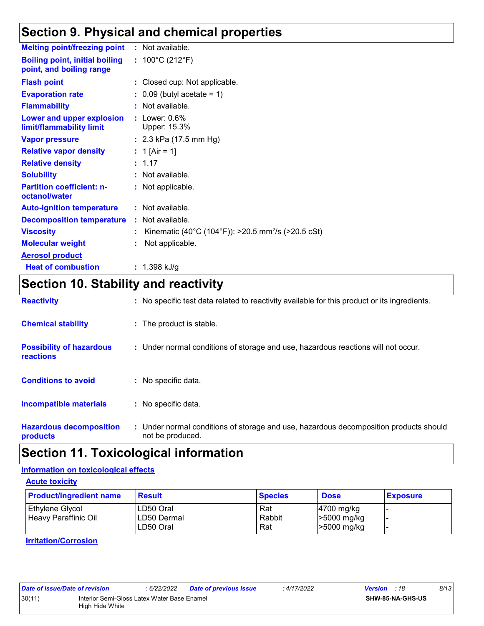### **Section 9. Physical and chemical properties**

| <b>Melting point/freezing point</b>                               | : Not available.                                               |
|-------------------------------------------------------------------|----------------------------------------------------------------|
| <b>Boiling point, initial boiling</b><br>point, and boiling range | : $100^{\circ}$ C (212 $^{\circ}$ F)                           |
| <b>Flash point</b>                                                | : Closed cup: Not applicable.                                  |
| <b>Evaporation rate</b>                                           | $\therefore$ 0.09 (butyl acetate = 1)                          |
| <b>Flammability</b>                                               | : Not available.                                               |
| Lower and upper explosion<br>limit/flammability limit             | $:$ Lower: $0.6\%$<br>Upper: 15.3%                             |
| <b>Vapor pressure</b>                                             | : $2.3$ kPa (17.5 mm Hg)                                       |
| <b>Relative vapor density</b>                                     | : 1 [Air = 1]                                                  |
| <b>Relative density</b>                                           | : 1.17                                                         |
| <b>Solubility</b>                                                 | : Not available.                                               |
| <b>Partition coefficient: n-</b><br>octanol/water                 | : Not applicable.                                              |
| <b>Auto-ignition temperature</b>                                  | : Not available.                                               |
| <b>Decomposition temperature</b>                                  | : Not available.                                               |
| <b>Viscosity</b>                                                  | Kinematic (40°C (104°F)): >20.5 mm <sup>2</sup> /s (>20.5 cSt) |
| <b>Molecular weight</b>                                           | Not applicable.                                                |
| <b>Aerosol product</b>                                            |                                                                |
| <b>Heat of combustion</b>                                         | : $1.398$ kJ/g                                                 |

### **Section 10. Stability and reactivity**

| <b>Reactivity</b>                            | : No specific test data related to reactivity available for this product or its ingredients.              |
|----------------------------------------------|-----------------------------------------------------------------------------------------------------------|
| <b>Chemical stability</b>                    | : The product is stable.                                                                                  |
| <b>Possibility of hazardous</b><br>reactions | : Under normal conditions of storage and use, hazardous reactions will not occur.                         |
| <b>Conditions to avoid</b>                   | $:$ No specific data.                                                                                     |
| <b>Incompatible materials</b>                | : No specific data.                                                                                       |
| <b>Hazardous decomposition</b><br>products   | : Under normal conditions of storage and use, hazardous decomposition products should<br>not be produced. |

### **Section 11. Toxicological information**

#### **Information on toxicological effects**

**Acute toxicity**

| <b>Product/ingredient name</b>          | <b>Result</b>                                  | <b>Species</b>       | <b>Dose</b>                                          | <b>Exposure</b> |
|-----------------------------------------|------------------------------------------------|----------------------|------------------------------------------------------|-----------------|
| Ethylene Glycol<br>Heavy Paraffinic Oil | ILD50 Oral<br><b>ILD50 Dermal</b><br>LD50 Oral | Rat<br>Rabbit<br>Rat | $ 4700 \text{ mg/kg} $<br>>5000 mg/kg<br>>5000 mg/kg |                 |

**Irritation/Corrosion**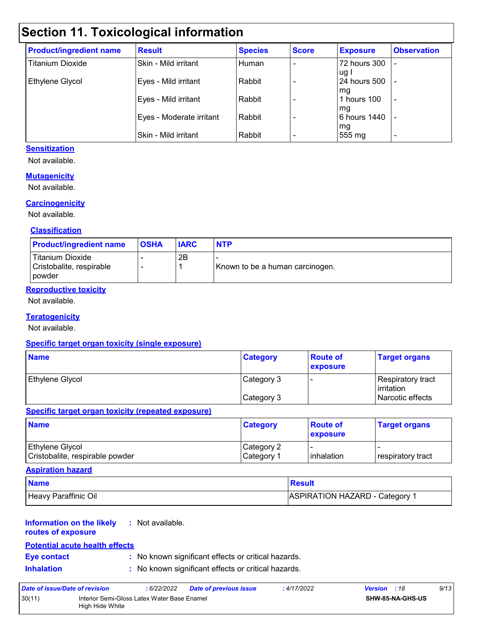### **Section 11. Toxicological information**

| <b>Product/ingredient name</b> | <b>Result</b>            | <b>Species</b> | <b>Score</b> | <b>Exposure</b>      | <b>Observation</b>       |
|--------------------------------|--------------------------|----------------|--------------|----------------------|--------------------------|
| <b>Titanium Dioxide</b>        | Skin - Mild irritant     | Human          |              | 72 hours 300         |                          |
| Ethylene Glycol                | Eyes - Mild irritant     | Rabbit         |              | ug l<br>24 hours 500 |                          |
|                                | Eyes - Mild irritant     | Rabbit         |              | l mg<br>hours 100    | $\overline{\phantom{a}}$ |
|                                | Eyes - Moderate irritant | Rabbit         |              | mg<br>6 hours 1440   |                          |
|                                | Skin - Mild irritant     | Rabbit         |              | mg<br>555 mg         | $\overline{\phantom{0}}$ |

#### **Sensitization**

Not available.

#### **Mutagenicity**

Not available.

#### **Carcinogenicity**

Not available.

#### **Classification**

| <b>Product/ingredient name</b>                                | <b>OSHA</b> | <b>IARC</b> | <b>NTP</b>                      |
|---------------------------------------------------------------|-------------|-------------|---------------------------------|
| <b>Titanium Dioxide</b><br>Cristobalite, respirable<br>powder |             | 2B          | Known to be a human carcinogen. |

#### **Reproductive toxicity**

Not available.

#### **Teratogenicity**

Not available.

#### **Specific target organ toxicity (single exposure)**

| <b>Name</b>            | <b>Category</b> | <b>Route of</b><br><b>exposure</b> | <b>Target organs</b>                      |
|------------------------|-----------------|------------------------------------|-------------------------------------------|
| <b>Ethylene Glycol</b> | Category 3      |                                    | Respiratory tract_<br><b>l</b> irritation |
|                        | Category 3      |                                    | Narcotic effects                          |

#### **Specific target organ toxicity (repeated exposure)**

| <b>Name</b>                                               | <b>Category</b>                      | <b>Route of</b><br><b>exposure</b> | <b>Target organs</b>       |
|-----------------------------------------------------------|--------------------------------------|------------------------------------|----------------------------|
| <b>Ethylene Glycol</b><br>Cristobalite, respirable powder | Category 2<br>∣Category <sup>1</sup> | <b>linhalation</b>                 | <b>I</b> respiratory tract |

#### **Aspiration hazard**

| <b>Name</b>          | Result                                |
|----------------------|---------------------------------------|
| Heavy Paraffinic Oil | <b>ASPIRATION HAZARD - Category 1</b> |

#### **Information on the likely :** Not available.

**routes of exposure**

#### **Potential acute health effects**

**Eye contact :** No known significant effects or critical hazards.

**Inhalation :** No known significant effects or critical hazards.

| Date of issue/Date of revision |                                                                | : 6/22/2022 | <b>Date of previous issue</b> | : 4/17/2022 | <b>Version</b> : 18 |                         | 9/13 |
|--------------------------------|----------------------------------------------------------------|-------------|-------------------------------|-------------|---------------------|-------------------------|------|
| 30(11)                         | Interior Semi-Gloss Latex Water Base Enamel<br>High Hide White |             |                               |             |                     | <b>SHW-85-NA-GHS-US</b> |      |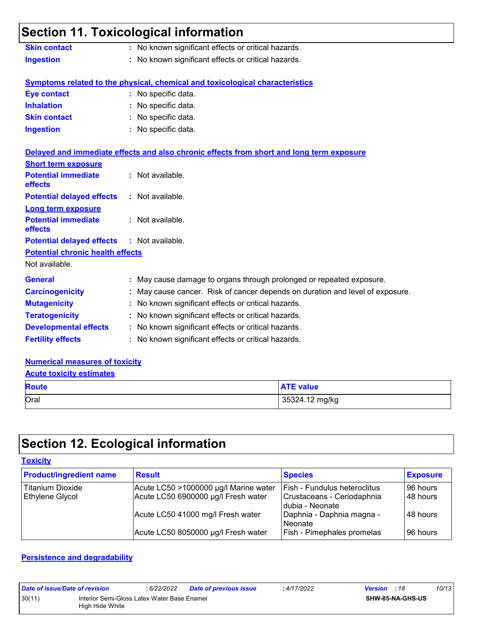### **Section 11. Toxicological information**

| <b>Skin contact</b> | : No known significant effects or critical hazards. |
|---------------------|-----------------------------------------------------|
| <b>Ingestion</b>    | : No known significant effects or critical hazards. |

**Fertility effects :** No known significant effects or critical hazards.

#### **Symptoms related to the physical, chemical and toxicological characteristics**

| Eye contact         | : No specific data. |
|---------------------|---------------------|
| <b>Inhalation</b>   | : No specific data. |
| <b>Skin contact</b> | : No specific data. |
| <b>Ingestion</b>    | : No specific data. |

|                                                   | Delayed and immediate effects and also chronic effects from short and long term exposure |  |
|---------------------------------------------------|------------------------------------------------------------------------------------------|--|
| <b>Short term exposure</b>                        |                                                                                          |  |
| <b>Potential immediate</b><br>effects             | $:$ Not available.                                                                       |  |
| <b>Potential delayed effects</b>                  | : Not available.                                                                         |  |
| <b>Long term exposure</b>                         |                                                                                          |  |
| <b>Potential immediate</b><br>effects             | : Not available.                                                                         |  |
| <b>Potential delayed effects : Not available.</b> |                                                                                          |  |
| <b>Potential chronic health effects</b>           |                                                                                          |  |
| Not available.                                    |                                                                                          |  |
| <b>General</b>                                    | : May cause damage to organs through prolonged or repeated exposure.                     |  |
| <b>Carcinogenicity</b>                            | : May cause cancer. Risk of cancer depends on duration and level of exposure.            |  |
| <b>Mutagenicity</b>                               | : No known significant effects or critical hazards.                                      |  |
| <b>Teratogenicity</b>                             | : No known significant effects or critical hazards.                                      |  |
| <b>Developmental effects</b>                      | : No known significant effects or critical hazards.                                      |  |

### **Numerical measures of toxicity**

#### **Acute toxicity estimates**

| <b>Route</b> | <b>ATE value</b> |
|--------------|------------------|
| Oral         | 35324.12 mg/kg   |

## **Section 12. Ecological information**

#### **Toxicity**

| <b>Product/ingredient name</b> | <b>Result</b>                         | <b>Species</b>                                  | <b>Exposure</b> |
|--------------------------------|---------------------------------------|-------------------------------------------------|-----------------|
| Titanium Dioxide               | Acute LC50 >1000000 µg/l Marine water | Fish - Fundulus heteroclitus                    | 196 hours       |
| Ethylene Glycol                | Acute LC50 6900000 µg/l Fresh water   | Crustaceans - Ceriodaphnia<br>I dubia - Neonate | 148 hours       |
|                                | Acute LC50 41000 mg/l Fresh water     | Daphnia - Daphnia magna -<br>l Neonate          | I48 hours       |
|                                | Acute LC50 8050000 µg/l Fresh water   | Fish - Pimephales promelas                      | 96 hours        |

#### **Persistence and degradability**

| Date of issue/Date of revision                                           |  | : 6/22/2022 | Date of previous issue | : 4/17/2022 | <b>Version</b> : 18     |  | 10/13 |
|--------------------------------------------------------------------------|--|-------------|------------------------|-------------|-------------------------|--|-------|
| 30(11)<br>Interior Semi-Gloss Latex Water Base Enamel<br>High Hide White |  |             |                        |             | <b>SHW-85-NA-GHS-US</b> |  |       |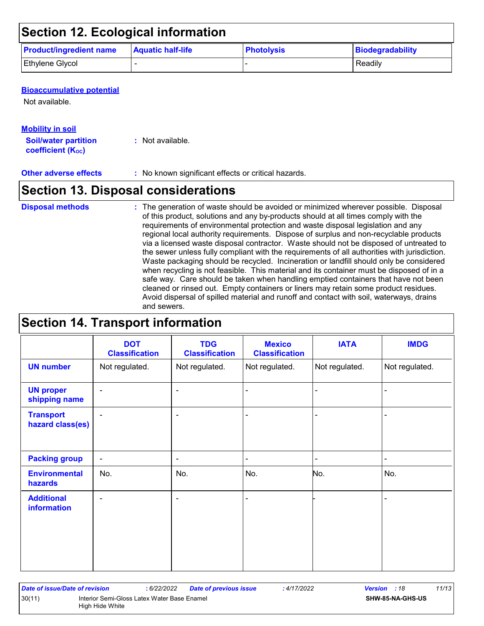### **Section 12. Ecological information**

| <b>Product/ingredient name</b> | <b>Aquatic half-life</b> | <b>Photolysis</b> | Biodegradability |
|--------------------------------|--------------------------|-------------------|------------------|
| <b>Ethylene Glycol</b>         |                          |                   | Readily          |

#### **Bioaccumulative potential**

Not available.

#### **Mobility in soil**

**Soil/water partition coefficient (KOC)**

**:** Not available.

#### **Other adverse effects** : No known significant effects or critical hazards.

### **Section 13. Disposal considerations**

#### The generation of waste should be avoided or minimized wherever possible. Disposal of this product, solutions and any by-products should at all times comply with the requirements of environmental protection and waste disposal legislation and any regional local authority requirements. Dispose of surplus and non-recyclable products via a licensed waste disposal contractor. Waste should not be disposed of untreated to the sewer unless fully compliant with the requirements of all authorities with jurisdiction. Waste packaging should be recycled. Incineration or landfill should only be considered when recycling is not feasible. This material and its container must be disposed of in a safe way. Care should be taken when handling emptied containers that have not been cleaned or rinsed out. Empty containers or liners may retain some product residues. Avoid dispersal of spilled material and runoff and contact with soil, waterways, drains and sewers. **Disposal methods :**

### **Section 14. Transport information**

|                                      | <b>DOT</b><br><b>Classification</b> | <b>TDG</b><br><b>Classification</b> | <b>Mexico</b><br><b>Classification</b> | <b>IATA</b>    | <b>IMDG</b>    |
|--------------------------------------|-------------------------------------|-------------------------------------|----------------------------------------|----------------|----------------|
| <b>UN number</b>                     | Not regulated.                      | Not regulated.                      | Not regulated.                         | Not regulated. | Not regulated. |
| <b>UN proper</b><br>shipping name    | $\overline{\phantom{a}}$            | $\blacksquare$                      |                                        |                | -              |
| <b>Transport</b><br>hazard class(es) | $\overline{\phantom{a}}$            | $\blacksquare$                      |                                        |                |                |
| <b>Packing group</b>                 | $\overline{\phantom{a}}$            | $\overline{\phantom{a}}$            | $\blacksquare$                         |                | $\blacksquare$ |
| <b>Environmental</b><br>hazards      | No.                                 | No.                                 | No.                                    | No.            | No.            |
| <b>Additional</b><br>information     | $\blacksquare$                      | $\blacksquare$                      |                                        |                | ۰              |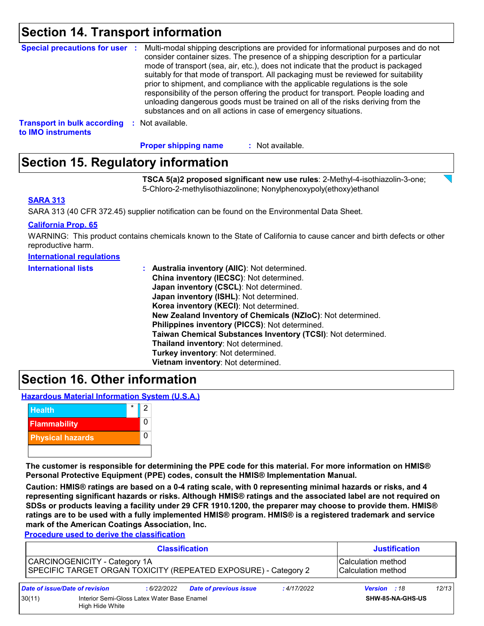### **Section 14. Transport information**

| <b>Special precautions for user :</b> | Multi-modal shipping descriptions are provided for informational purposes and do not<br>consider container sizes. The presence of a shipping description for a particular<br>mode of transport (sea, air, etc.), does not indicate that the product is packaged<br>suitably for that mode of transport. All packaging must be reviewed for suitability<br>prior to shipment, and compliance with the applicable regulations is the sole<br>responsibility of the person offering the product for transport. People loading and<br>unloading dangerous goods must be trained on all of the risks deriving from the<br>substances and on all actions in case of emergency situations. |
|---------------------------------------|-------------------------------------------------------------------------------------------------------------------------------------------------------------------------------------------------------------------------------------------------------------------------------------------------------------------------------------------------------------------------------------------------------------------------------------------------------------------------------------------------------------------------------------------------------------------------------------------------------------------------------------------------------------------------------------|
| <b>Transport in bulk according</b>    | Not available.                                                                                                                                                                                                                                                                                                                                                                                                                                                                                                                                                                                                                                                                      |
| to IMO instruments                    | - 50                                                                                                                                                                                                                                                                                                                                                                                                                                                                                                                                                                                                                                                                                |

**Proper shipping name :**

#### : Not available.

### **Section 15. Regulatory information**

**TSCA 5(a)2 proposed significant new use rules**: 2-Methyl-4-isothiazolin-3-one; 5-Chloro-2-methylisothiazolinone; Nonylphenoxypoly(ethoxy)ethanol

#### **SARA 313**

SARA 313 (40 CFR 372.45) supplier notification can be found on the Environmental Data Sheet.

#### **California Prop. 65**

WARNING: This product contains chemicals known to the State of California to cause cancer and birth defects or other reproductive harm.

| <b>International lists</b> | : Australia inventory (AIIC): Not determined.                |
|----------------------------|--------------------------------------------------------------|
|                            | China inventory (IECSC): Not determined.                     |
|                            | Japan inventory (CSCL): Not determined.                      |
|                            | Japan inventory (ISHL): Not determined.                      |
|                            | Korea inventory (KECI): Not determined.                      |
|                            | New Zealand Inventory of Chemicals (NZIoC): Not determined.  |
|                            | Philippines inventory (PICCS): Not determined.               |
|                            | Taiwan Chemical Substances Inventory (TCSI): Not determined. |
|                            | Thailand inventory: Not determined.                          |
|                            | Turkey inventory: Not determined.                            |
|                            | Vietnam inventory: Not determined.                           |

### **Section 16. Other information**

**Hazardous Material Information System (U.S.A.)**



**The customer is responsible for determining the PPE code for this material. For more information on HMIS® Personal Protective Equipment (PPE) codes, consult the HMIS® Implementation Manual.**

**Caution: HMIS® ratings are based on a 0-4 rating scale, with 0 representing minimal hazards or risks, and 4 representing significant hazards or risks. Although HMIS® ratings and the associated label are not required on SDSs or products leaving a facility under 29 CFR 1910.1200, the preparer may choose to provide them. HMIS® ratings are to be used with a fully implemented HMIS® program. HMIS® is a registered trademark and service mark of the American Coatings Association, Inc.**

**Procedure used to derive the classification**

|        | <b>Classification</b>                                          |             |                                                                 |             | <b>Justification</b>                       |       |  |
|--------|----------------------------------------------------------------|-------------|-----------------------------------------------------------------|-------------|--------------------------------------------|-------|--|
|        | CARCINOGENICITY - Category 1A                                  |             | SPECIFIC TARGET ORGAN TOXICITY (REPEATED EXPOSURE) - Category 2 |             | l Calculation method<br>Calculation method |       |  |
|        | Date of issue/Date of revision                                 | : 6/22/2022 | <b>Date of previous issue</b>                                   | : 4/17/2022 | Version : 18                               | 12/13 |  |
| 30(11) | Interior Semi-Gloss Latex Water Base Enamel<br>High Hide White |             |                                                                 |             | SHW-85-NA-GHS-US                           |       |  |